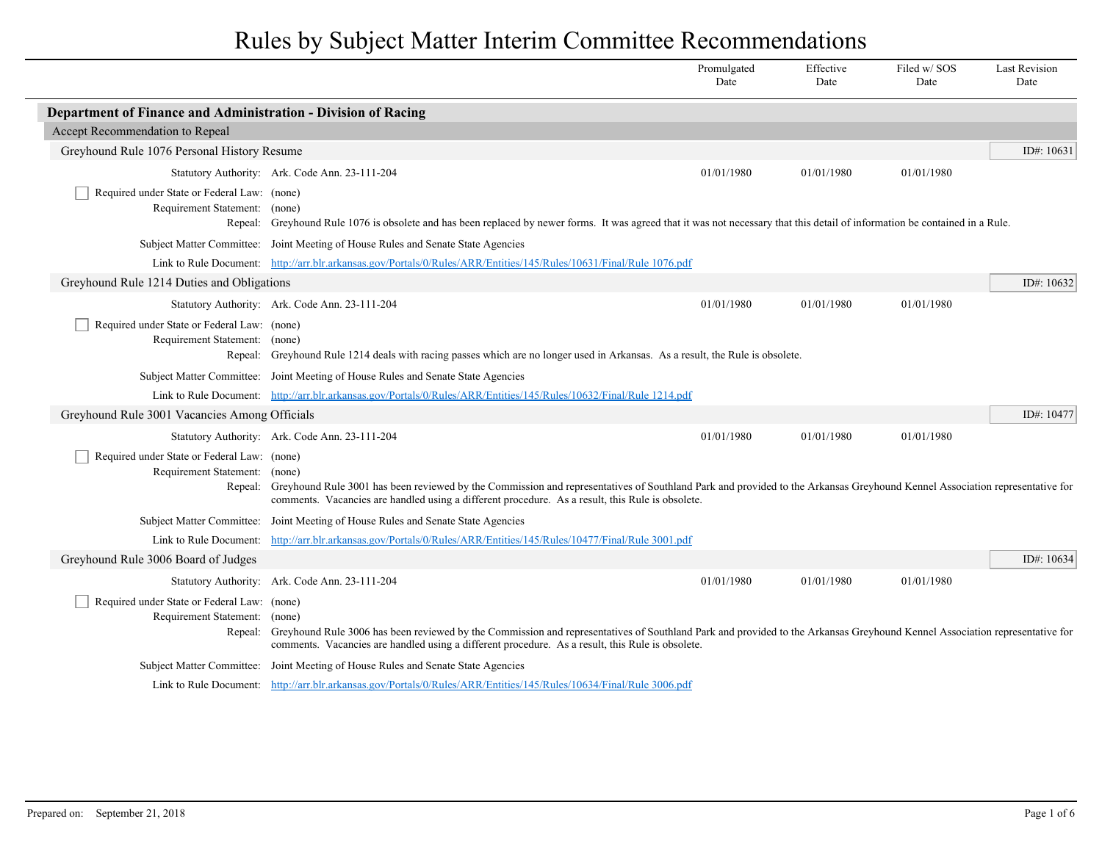|                                                                                                                                                                                                         |                                                                                                                                                                                                                                                                                | Promulgated<br>Date | Effective<br>Date | Filed w/SOS<br>Date | <b>Last Revision</b><br>Date |
|---------------------------------------------------------------------------------------------------------------------------------------------------------------------------------------------------------|--------------------------------------------------------------------------------------------------------------------------------------------------------------------------------------------------------------------------------------------------------------------------------|---------------------|-------------------|---------------------|------------------------------|
| Department of Finance and Administration - Division of Racing                                                                                                                                           |                                                                                                                                                                                                                                                                                |                     |                   |                     |                              |
| Accept Recommendation to Repeal                                                                                                                                                                         |                                                                                                                                                                                                                                                                                |                     |                   |                     |                              |
| Greyhound Rule 1076 Personal History Resume                                                                                                                                                             |                                                                                                                                                                                                                                                                                |                     |                   |                     | ID#: $10631$                 |
|                                                                                                                                                                                                         | Statutory Authority: Ark. Code Ann. 23-111-204                                                                                                                                                                                                                                 | 01/01/1980          | 01/01/1980        | 01/01/1980          |                              |
| Required under State or Federal Law: (none)<br>Requirement Statement: (none)                                                                                                                            | Repeal: Greyhound Rule 1076 is obsolete and has been replaced by newer forms. It was agreed that it was not necessary that this detail of information be contained in a Rule.                                                                                                  |                     |                   |                     |                              |
|                                                                                                                                                                                                         | Subject Matter Committee: Joint Meeting of House Rules and Senate State Agencies                                                                                                                                                                                               |                     |                   |                     |                              |
|                                                                                                                                                                                                         | Link to Rule Document: http://arr.blr.arkansas.gov/Portals/0/Rules/ARR/Entities/145/Rules/10631/Final/Rule 1076.pdf                                                                                                                                                            |                     |                   |                     |                              |
| Greyhound Rule 1214 Duties and Obligations                                                                                                                                                              |                                                                                                                                                                                                                                                                                |                     |                   |                     | ID#: $10632$                 |
|                                                                                                                                                                                                         | Statutory Authority: Ark. Code Ann. 23-111-204                                                                                                                                                                                                                                 | 01/01/1980          | 01/01/1980        | 01/01/1980          |                              |
| Required under State or Federal Law: (none)<br>Requirement Statement: (none)                                                                                                                            | Repeal: Greyhound Rule 1214 deals with racing passes which are no longer used in Arkansas. As a result, the Rule is obsolete.                                                                                                                                                  |                     |                   |                     |                              |
| Subject Matter Committee: Joint Meeting of House Rules and Senate State Agencies<br>Link to Rule Document: http://arr.blr.arkansas.gov/Portals/0/Rules/ARR/Entities/145/Rules/10632/Final/Rule 1214.pdf |                                                                                                                                                                                                                                                                                |                     |                   |                     |                              |
|                                                                                                                                                                                                         |                                                                                                                                                                                                                                                                                |                     |                   |                     |                              |
|                                                                                                                                                                                                         | Statutory Authority: Ark. Code Ann. 23-111-204                                                                                                                                                                                                                                 | 01/01/1980          | 01/01/1980        | 01/01/1980          |                              |
| Required under State or Federal Law: (none)<br>Requirement Statement: (none)<br>Repeal:                                                                                                                 | Greyhound Rule 3001 has been reviewed by the Commission and representatives of Southland Park and provided to the Arkansas Greyhound Kennel Association representative for<br>comments. Vacancies are handled using a different procedure. As a result, this Rule is obsolete. |                     |                   |                     |                              |
|                                                                                                                                                                                                         | Subject Matter Committee: Joint Meeting of House Rules and Senate State Agencies                                                                                                                                                                                               |                     |                   |                     |                              |
| Link to Rule Document:                                                                                                                                                                                  | http://arr.blr.arkansas.gov/Portals/0/Rules/ARR/Entities/145/Rules/10477/Final/Rule 3001.pdf                                                                                                                                                                                   |                     |                   |                     |                              |
| Greyhound Rule 3006 Board of Judges                                                                                                                                                                     |                                                                                                                                                                                                                                                                                |                     |                   |                     | ID#: 10634                   |
|                                                                                                                                                                                                         | Statutory Authority: Ark. Code Ann. 23-111-204                                                                                                                                                                                                                                 | 01/01/1980          | 01/01/1980        | 01/01/1980          |                              |
| Required under State or Federal Law: (none)<br>Requirement Statement: (none)<br>Repeal:                                                                                                                 | Greyhound Rule 3006 has been reviewed by the Commission and representatives of Southland Park and provided to the Arkansas Greyhound Kennel Association representative for<br>comments. Vacancies are handled using a different procedure. As a result, this Rule is obsolete. |                     |                   |                     |                              |
|                                                                                                                                                                                                         | Subject Matter Committee: Joint Meeting of House Rules and Senate State Agencies                                                                                                                                                                                               |                     |                   |                     |                              |
|                                                                                                                                                                                                         | Link to Rule Document: http://arr.blr.arkansas.gov/Portals/0/Rules/ARR/Entities/145/Rules/10634/Final/Rule 3006.pdf                                                                                                                                                            |                     |                   |                     |                              |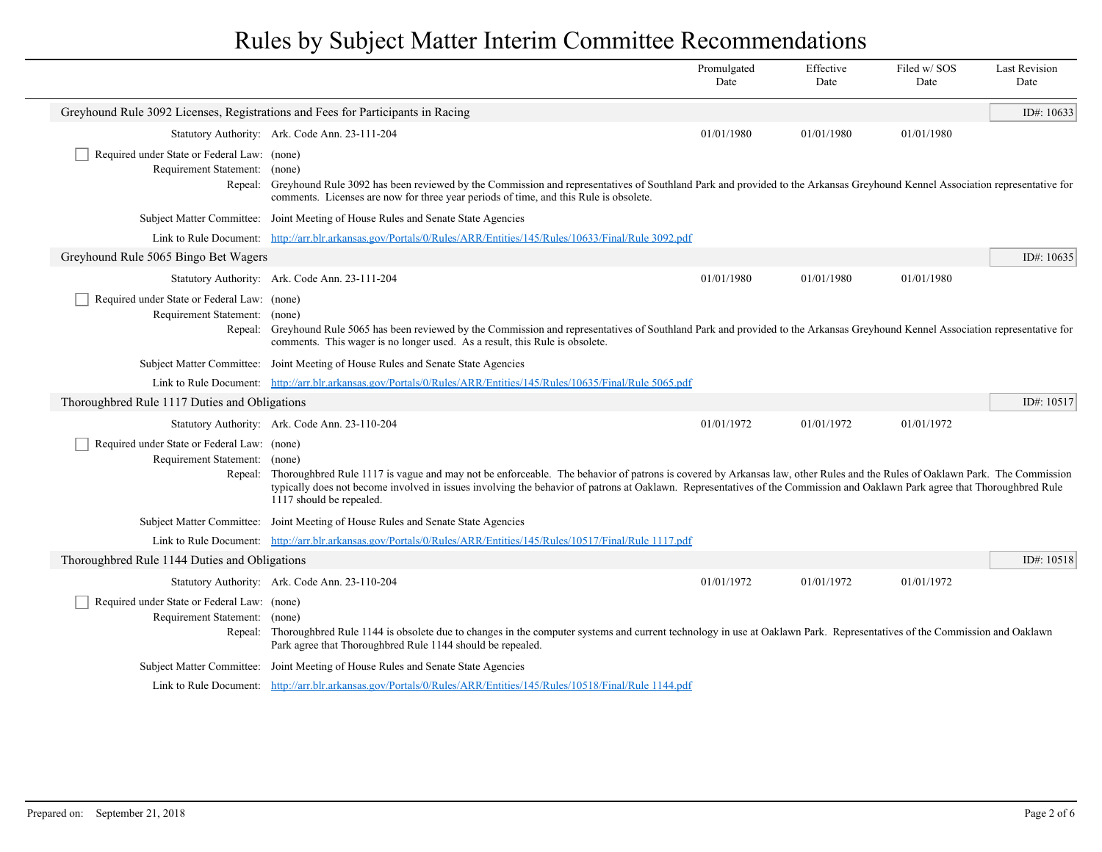|                                                                                                                                                                                                                                                                                                                                                                                                                                                                                   |                                                                                                                                                                                                                                                                     | Promulgated<br>Date | Effective<br>Date | Filed w/SOS<br>Date | <b>Last Revision</b><br>Date |
|-----------------------------------------------------------------------------------------------------------------------------------------------------------------------------------------------------------------------------------------------------------------------------------------------------------------------------------------------------------------------------------------------------------------------------------------------------------------------------------|---------------------------------------------------------------------------------------------------------------------------------------------------------------------------------------------------------------------------------------------------------------------|---------------------|-------------------|---------------------|------------------------------|
|                                                                                                                                                                                                                                                                                                                                                                                                                                                                                   | Greyhound Rule 3092 Licenses, Registrations and Fees for Participants in Racing                                                                                                                                                                                     |                     |                   |                     | ID#: 10633                   |
|                                                                                                                                                                                                                                                                                                                                                                                                                                                                                   | Statutory Authority: Ark. Code Ann. 23-111-204                                                                                                                                                                                                                      | 01/01/1980          | 01/01/1980        | 01/01/1980          |                              |
| Required under State or Federal Law: (none)<br>Requirement Statement: (none)<br>Repeal:                                                                                                                                                                                                                                                                                                                                                                                           | Greyhound Rule 3092 has been reviewed by the Commission and representatives of Southland Park and provided to the Arkansas Greyhound Kennel Association representative for<br>comments. Licenses are now for three year periods of time, and this Rule is obsolete. |                     |                   |                     |                              |
|                                                                                                                                                                                                                                                                                                                                                                                                                                                                                   | Subject Matter Committee: Joint Meeting of House Rules and Senate State Agencies                                                                                                                                                                                    |                     |                   |                     |                              |
|                                                                                                                                                                                                                                                                                                                                                                                                                                                                                   | Link to Rule Document: http://arr.blr.arkansas.gov/Portals/0/Rules/ARR/Entities/145/Rules/10633/Final/Rule 3092.pdf                                                                                                                                                 |                     |                   |                     |                              |
| Greyhound Rule 5065 Bingo Bet Wagers                                                                                                                                                                                                                                                                                                                                                                                                                                              |                                                                                                                                                                                                                                                                     |                     |                   |                     | ID#: $10635$                 |
|                                                                                                                                                                                                                                                                                                                                                                                                                                                                                   | Statutory Authority: Ark. Code Ann. 23-111-204                                                                                                                                                                                                                      | 01/01/1980          | 01/01/1980        | 01/01/1980          |                              |
| Required under State or Federal Law: (none)<br>Requirement Statement: (none)<br>Repeal:                                                                                                                                                                                                                                                                                                                                                                                           | Greyhound Rule 5065 has been reviewed by the Commission and representatives of Southland Park and provided to the Arkansas Greyhound Kennel Association representative for<br>comments. This wager is no longer used. As a result, this Rule is obsolete.           |                     |                   |                     |                              |
|                                                                                                                                                                                                                                                                                                                                                                                                                                                                                   | Subject Matter Committee: Joint Meeting of House Rules and Senate State Agencies                                                                                                                                                                                    |                     |                   |                     |                              |
|                                                                                                                                                                                                                                                                                                                                                                                                                                                                                   | Link to Rule Document: http://arr.blr.arkansas.gov/Portals/0/Rules/ARR/Entities/145/Rules/10635/Final/Rule 5065.pdf                                                                                                                                                 |                     |                   |                     |                              |
| Thoroughbred Rule 1117 Duties and Obligations                                                                                                                                                                                                                                                                                                                                                                                                                                     |                                                                                                                                                                                                                                                                     |                     |                   |                     | ID#: $10517$                 |
|                                                                                                                                                                                                                                                                                                                                                                                                                                                                                   | Statutory Authority: Ark. Code Ann. 23-110-204                                                                                                                                                                                                                      | 01/01/1972          | 01/01/1972        | 01/01/1972          |                              |
| Required under State or Federal Law: (none)<br>Requirement Statement:<br>(none)<br>Thoroughbred Rule 1117 is vague and may not be enforceable. The behavior of patrons is covered by Arkansas law, other Rules and the Rules of Oaklawn Park. The Commission<br>Repeal:<br>typically does not become involved in issues involving the behavior of patrons at Oaklawn. Representatives of the Commission and Oaklawn Park agree that Thoroughbred Rule<br>1117 should be repealed. |                                                                                                                                                                                                                                                                     |                     |                   |                     |                              |
|                                                                                                                                                                                                                                                                                                                                                                                                                                                                                   | Subject Matter Committee: Joint Meeting of House Rules and Senate State Agencies                                                                                                                                                                                    |                     |                   |                     |                              |
|                                                                                                                                                                                                                                                                                                                                                                                                                                                                                   | Link to Rule Document: http://arr.blr.arkansas.gov/Portals/0/Rules/ARR/Entities/145/Rules/10517/Final/Rule 1117.pdf                                                                                                                                                 |                     |                   |                     |                              |
| Thoroughbred Rule 1144 Duties and Obligations                                                                                                                                                                                                                                                                                                                                                                                                                                     |                                                                                                                                                                                                                                                                     |                     |                   |                     | ID#: 10518                   |
|                                                                                                                                                                                                                                                                                                                                                                                                                                                                                   | Statutory Authority: Ark. Code Ann. 23-110-204                                                                                                                                                                                                                      | 01/01/1972          | 01/01/1972        | 01/01/1972          |                              |
| Required under State or Federal Law: (none)<br>Requirement Statement: (none)                                                                                                                                                                                                                                                                                                                                                                                                      | Repeal: Thoroughbred Rule 1144 is obsolete due to changes in the computer systems and current technology in use at Oaklawn Park. Representatives of the Commission and Oaklawn<br>Park agree that Thoroughbred Rule 1144 should be repealed.                        |                     |                   |                     |                              |
|                                                                                                                                                                                                                                                                                                                                                                                                                                                                                   | Subject Matter Committee: Joint Meeting of House Rules and Senate State Agencies                                                                                                                                                                                    |                     |                   |                     |                              |
|                                                                                                                                                                                                                                                                                                                                                                                                                                                                                   | Link to Rule Document: http://arr.blr.arkansas.gov/Portals/0/Rules/ARR/Entities/145/Rules/10518/Final/Rule 1144.pdf                                                                                                                                                 |                     |                   |                     |                              |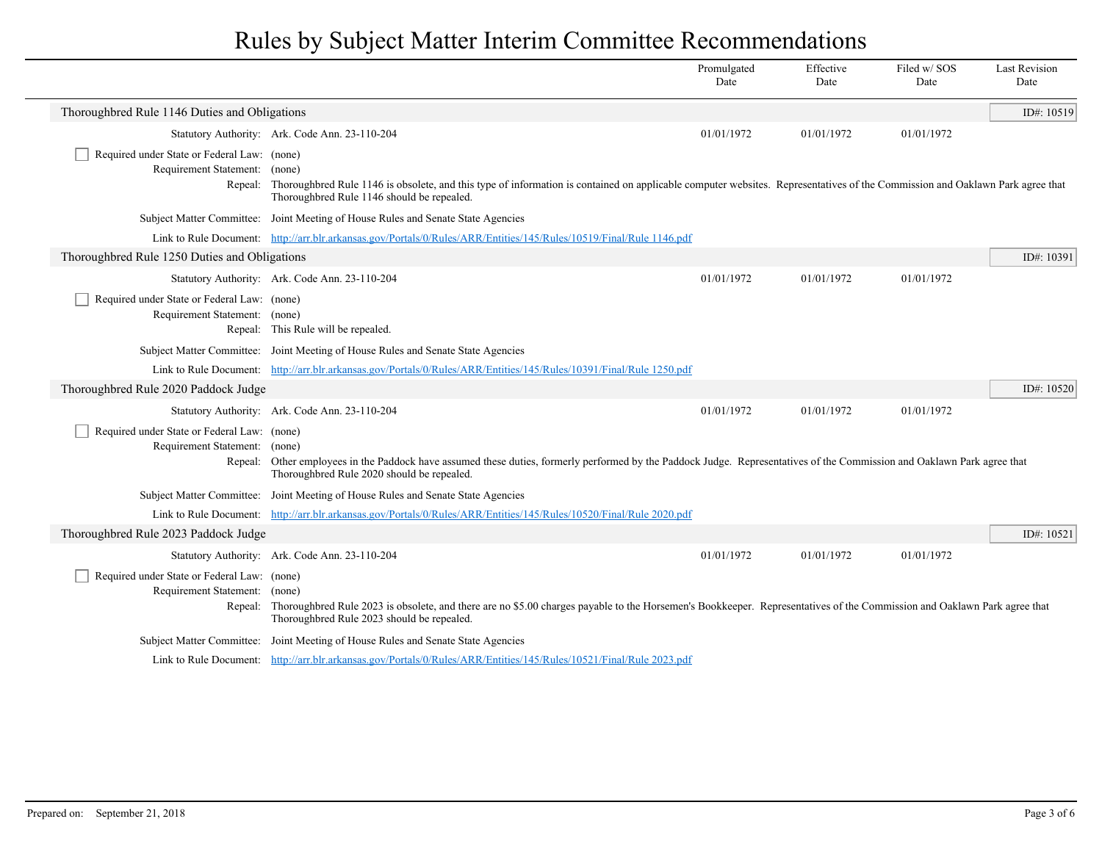|                                                                                                                                                                                                                                                                                                           |                                                                                                                                                                                                                                                                                                                     | Promulgated<br>Date | Effective<br>Date | Filed w/SOS<br>Date | <b>Last Revision</b><br>Date |
|-----------------------------------------------------------------------------------------------------------------------------------------------------------------------------------------------------------------------------------------------------------------------------------------------------------|---------------------------------------------------------------------------------------------------------------------------------------------------------------------------------------------------------------------------------------------------------------------------------------------------------------------|---------------------|-------------------|---------------------|------------------------------|
| Thoroughbred Rule 1146 Duties and Obligations                                                                                                                                                                                                                                                             |                                                                                                                                                                                                                                                                                                                     |                     |                   |                     | ID#: 10519                   |
|                                                                                                                                                                                                                                                                                                           | Statutory Authority: Ark. Code Ann. 23-110-204                                                                                                                                                                                                                                                                      | 01/01/1972          | 01/01/1972        | 01/01/1972          |                              |
| Required under State or Federal Law: (none)<br>Requirement Statement:                                                                                                                                                                                                                                     | (none)<br>Repeal: Thoroughbred Rule 1146 is obsolete, and this type of information is contained on applicable computer websites. Representatives of the Commission and Oaklawn Park agree that<br>Thoroughbred Rule 1146 should be repealed.                                                                        |                     |                   |                     |                              |
|                                                                                                                                                                                                                                                                                                           | Subject Matter Committee: Joint Meeting of House Rules and Senate State Agencies                                                                                                                                                                                                                                    |                     |                   |                     |                              |
|                                                                                                                                                                                                                                                                                                           | Link to Rule Document: http://arr.blr.arkansas.gov/Portals/0/Rules/ARR/Entities/145/Rules/10519/Final/Rule 1146.pdf                                                                                                                                                                                                 |                     |                   |                     |                              |
| Thoroughbred Rule 1250 Duties and Obligations                                                                                                                                                                                                                                                             |                                                                                                                                                                                                                                                                                                                     |                     |                   |                     | ID#: 10391                   |
|                                                                                                                                                                                                                                                                                                           | Statutory Authority: Ark. Code Ann. 23-110-204                                                                                                                                                                                                                                                                      | 01/01/1972          | 01/01/1972        | 01/01/1972          |                              |
| Required under State or Federal Law: (none)<br>Requirement Statement: (none)                                                                                                                                                                                                                              | Repeal: This Rule will be repealed.                                                                                                                                                                                                                                                                                 |                     |                   |                     |                              |
|                                                                                                                                                                                                                                                                                                           | Subject Matter Committee: Joint Meeting of House Rules and Senate State Agencies                                                                                                                                                                                                                                    |                     |                   |                     |                              |
|                                                                                                                                                                                                                                                                                                           | Link to Rule Document: http://arr.blr.arkansas.gov/Portals/0/Rules/ARR/Entities/145/Rules/10391/Final/Rule 1250.pdf                                                                                                                                                                                                 |                     |                   |                     |                              |
| Thoroughbred Rule 2020 Paddock Judge                                                                                                                                                                                                                                                                      |                                                                                                                                                                                                                                                                                                                     |                     |                   |                     | ID#: 10520                   |
|                                                                                                                                                                                                                                                                                                           | Statutory Authority: Ark. Code Ann. 23-110-204                                                                                                                                                                                                                                                                      | 01/01/1972          | 01/01/1972        | 01/01/1972          |                              |
| Required under State or Federal Law: (none)<br>Requirement Statement:<br>(none)<br>Repeal: Other employees in the Paddock have assumed these duties, formerly performed by the Paddock Judge. Representatives of the Commission and Oaklawn Park agree that<br>Thoroughbred Rule 2020 should be repealed. |                                                                                                                                                                                                                                                                                                                     |                     |                   |                     |                              |
|                                                                                                                                                                                                                                                                                                           | Subject Matter Committee: Joint Meeting of House Rules and Senate State Agencies                                                                                                                                                                                                                                    |                     |                   |                     |                              |
|                                                                                                                                                                                                                                                                                                           | Link to Rule Document: http://arr.blr.arkansas.gov/Portals/0/Rules/ARR/Entities/145/Rules/10520/Final/Rule 2020.pdf                                                                                                                                                                                                 |                     |                   |                     |                              |
| Thoroughbred Rule 2023 Paddock Judge                                                                                                                                                                                                                                                                      |                                                                                                                                                                                                                                                                                                                     |                     |                   |                     | ID#: 10521                   |
|                                                                                                                                                                                                                                                                                                           | Statutory Authority: Ark. Code Ann. 23-110-204                                                                                                                                                                                                                                                                      | 01/01/1972          | 01/01/1972        | 01/01/1972          |                              |
|                                                                                                                                                                                                                                                                                                           | Required under State or Federal Law: (none)<br>Requirement Statement:<br>(none)<br>Thoroughbred Rule 2023 is obsolete, and there are no \$5.00 charges payable to the Horsemen's Bookkeeper. Representatives of the Commission and Oaklawn Park agree that<br>Repeal:<br>Thoroughbred Rule 2023 should be repealed. |                     |                   |                     |                              |
|                                                                                                                                                                                                                                                                                                           | Subject Matter Committee: Joint Meeting of House Rules and Senate State Agencies                                                                                                                                                                                                                                    |                     |                   |                     |                              |
|                                                                                                                                                                                                                                                                                                           | Link to Rule Document: http://arr.blr.arkansas.gov/Portals/0/Rules/ARR/Entities/145/Rules/10521/Final/Rule 2023.pdf                                                                                                                                                                                                 |                     |                   |                     |                              |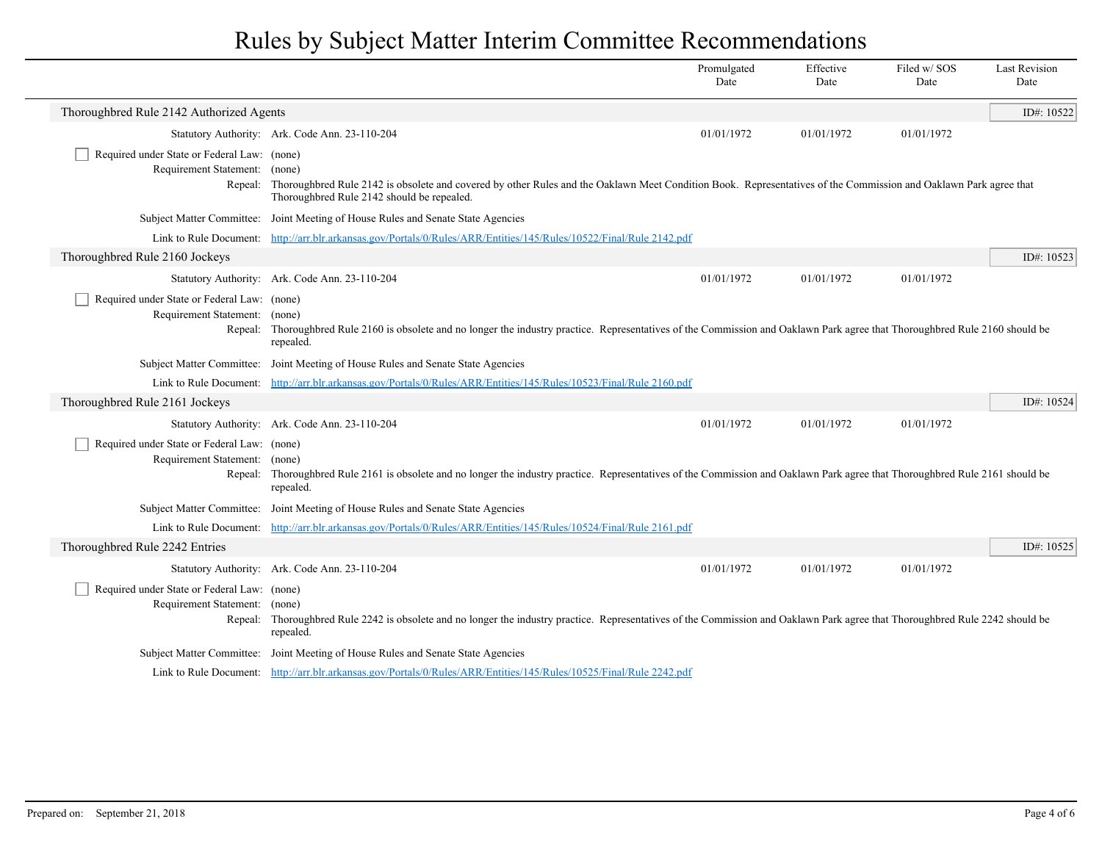|                                                                                                                                                                                                                                                                                |                                                                                                                                                                                                                                                                                | Promulgated<br>Date | Effective<br>Date | Filed w/SOS<br>Date | <b>Last Revision</b><br>Date |
|--------------------------------------------------------------------------------------------------------------------------------------------------------------------------------------------------------------------------------------------------------------------------------|--------------------------------------------------------------------------------------------------------------------------------------------------------------------------------------------------------------------------------------------------------------------------------|---------------------|-------------------|---------------------|------------------------------|
| Thoroughbred Rule 2142 Authorized Agents                                                                                                                                                                                                                                       |                                                                                                                                                                                                                                                                                |                     |                   |                     | ID#: 10522                   |
|                                                                                                                                                                                                                                                                                | Statutory Authority: Ark. Code Ann. 23-110-204                                                                                                                                                                                                                                 | 01/01/1972          | 01/01/1972        | 01/01/1972          |                              |
| Required under State or Federal Law: (none)                                                                                                                                                                                                                                    |                                                                                                                                                                                                                                                                                |                     |                   |                     |                              |
| Requirement Statement: (none)<br>Repeal:                                                                                                                                                                                                                                       | Thoroughbred Rule 2142 is obsolete and covered by other Rules and the Oaklawn Meet Condition Book. Representatives of the Commission and Oaklawn Park agree that<br>Thoroughbred Rule 2142 should be repealed.                                                                 |                     |                   |                     |                              |
|                                                                                                                                                                                                                                                                                | Subject Matter Committee: Joint Meeting of House Rules and Senate State Agencies                                                                                                                                                                                               |                     |                   |                     |                              |
|                                                                                                                                                                                                                                                                                | Link to Rule Document: http://arr.blr.arkansas.gov/Portals/0/Rules/ARR/Entities/145/Rules/10522/Final/Rule 2142.pdf                                                                                                                                                            |                     |                   |                     |                              |
| Thoroughbred Rule 2160 Jockeys                                                                                                                                                                                                                                                 |                                                                                                                                                                                                                                                                                |                     |                   |                     | ID#: 10523                   |
|                                                                                                                                                                                                                                                                                | Statutory Authority: Ark. Code Ann. 23-110-204                                                                                                                                                                                                                                 | 01/01/1972          | 01/01/1972        | 01/01/1972          |                              |
|                                                                                                                                                                                                                                                                                | Required under State or Federal Law: (none)<br>Requirement Statement: (none)<br>Repeal: Thoroughbred Rule 2160 is obsolete and no longer the industry practice. Representatives of the Commission and Oaklawn Park agree that Thoroughbred Rule 2160 should be<br>repealed.    |                     |                   |                     |                              |
|                                                                                                                                                                                                                                                                                | Subject Matter Committee: Joint Meeting of House Rules and Senate State Agencies                                                                                                                                                                                               |                     |                   |                     |                              |
|                                                                                                                                                                                                                                                                                | Link to Rule Document: http://arr.blr.arkansas.gov/Portals/0/Rules/ARR/Entities/145/Rules/10523/Final/Rule 2160.pdf                                                                                                                                                            |                     |                   |                     |                              |
| Thoroughbred Rule 2161 Jockeys                                                                                                                                                                                                                                                 |                                                                                                                                                                                                                                                                                |                     |                   |                     | ID#: $10524$                 |
|                                                                                                                                                                                                                                                                                | Statutory Authority: Ark. Code Ann. 23-110-204                                                                                                                                                                                                                                 | 01/01/1972          | 01/01/1972        | 01/01/1972          |                              |
| Required under State or Federal Law: (none)<br>Requirement Statement:<br>(none)<br>Repeal: Thoroughbred Rule 2161 is obsolete and no longer the industry practice. Representatives of the Commission and Oaklawn Park agree that Thoroughbred Rule 2161 should be<br>repealed. |                                                                                                                                                                                                                                                                                |                     |                   |                     |                              |
|                                                                                                                                                                                                                                                                                | Subject Matter Committee: Joint Meeting of House Rules and Senate State Agencies                                                                                                                                                                                               |                     |                   |                     |                              |
|                                                                                                                                                                                                                                                                                | Link to Rule Document: http://arr.blr.arkansas.gov/Portals/0/Rules/ARR/Entities/145/Rules/10524/Final/Rule 2161.pdf                                                                                                                                                            |                     |                   |                     |                              |
| Thoroughbred Rule 2242 Entries                                                                                                                                                                                                                                                 |                                                                                                                                                                                                                                                                                |                     |                   |                     | ID#: 10525                   |
|                                                                                                                                                                                                                                                                                | Statutory Authority: Ark. Code Ann. 23-110-204                                                                                                                                                                                                                                 | 01/01/1972          | 01/01/1972        | 01/01/1972          |                              |
|                                                                                                                                                                                                                                                                                | Required under State or Federal Law: (none)<br>Requirement Statement:<br>(none)<br>Repeal: Thoroughbred Rule 2242 is obsolete and no longer the industry practice. Representatives of the Commission and Oaklawn Park agree that Thoroughbred Rule 2242 should be<br>repealed. |                     |                   |                     |                              |
|                                                                                                                                                                                                                                                                                | Subject Matter Committee: Joint Meeting of House Rules and Senate State Agencies                                                                                                                                                                                               |                     |                   |                     |                              |
|                                                                                                                                                                                                                                                                                | Link to Rule Document: http://arr.blr.arkansas.gov/Portals/0/Rules/ARR/Entities/145/Rules/10525/Final/Rule 2242.pdf                                                                                                                                                            |                     |                   |                     |                              |

 $\overline{\phantom{a}}$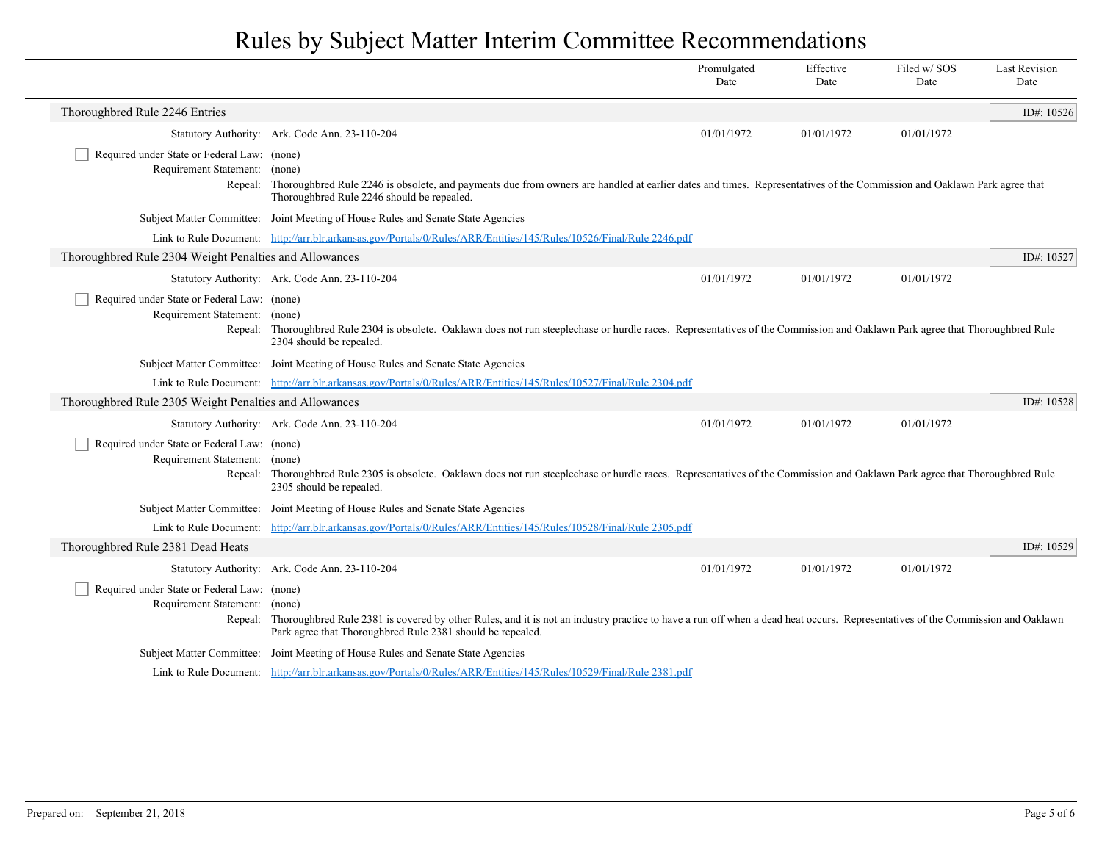|                                                                                  |                                                                                                                                                                                                                                                               | Promulgated<br>Date | Effective<br>Date | Filed w/SOS<br>Date | <b>Last Revision</b><br>Date |
|----------------------------------------------------------------------------------|---------------------------------------------------------------------------------------------------------------------------------------------------------------------------------------------------------------------------------------------------------------|---------------------|-------------------|---------------------|------------------------------|
| Thoroughbred Rule 2246 Entries                                                   |                                                                                                                                                                                                                                                               |                     |                   |                     | ID#: 10526                   |
|                                                                                  | Statutory Authority: Ark. Code Ann. 23-110-204                                                                                                                                                                                                                | 01/01/1972          | 01/01/1972        | 01/01/1972          |                              |
| Required under State or Federal Law: (none)<br>Requirement Statement:<br>Repeal: | (none)<br>Thoroughbred Rule 2246 is obsolete, and payments due from owners are handled at earlier dates and times. Representatives of the Commission and Oaklawn Park agree that<br>Thoroughbred Rule 2246 should be repealed.                                |                     |                   |                     |                              |
|                                                                                  | Subject Matter Committee: Joint Meeting of House Rules and Senate State Agencies                                                                                                                                                                              |                     |                   |                     |                              |
|                                                                                  | Link to Rule Document: http://arr.blr.arkansas.gov/Portals/0/Rules/ARR/Entities/145/Rules/10526/Final/Rule 2246.pdf                                                                                                                                           |                     |                   |                     |                              |
| Thoroughbred Rule 2304 Weight Penalties and Allowances                           |                                                                                                                                                                                                                                                               |                     |                   |                     | ID#: 10527                   |
|                                                                                  | Statutory Authority: Ark. Code Ann. 23-110-204                                                                                                                                                                                                                | 01/01/1972          | 01/01/1972        | 01/01/1972          |                              |
| Required under State or Federal Law: (none)<br>Requirement Statement: (none)     | Repeal: Thoroughbred Rule 2304 is obsolete. Oaklawn does not run steeplechase or hurdle races. Representatives of the Commission and Oaklawn Park agree that Thoroughbred Rule<br>2304 should be repealed.                                                    |                     |                   |                     |                              |
|                                                                                  | Subject Matter Committee: Joint Meeting of House Rules and Senate State Agencies                                                                                                                                                                              |                     |                   |                     |                              |
|                                                                                  | Link to Rule Document: http://arr.blr.arkansas.gov/Portals/0/Rules/ARR/Entities/145/Rules/10527/Final/Rule 2304.pdf                                                                                                                                           |                     |                   |                     |                              |
| Thoroughbred Rule 2305 Weight Penalties and Allowances                           |                                                                                                                                                                                                                                                               |                     |                   |                     | ID#: 10528                   |
|                                                                                  | Statutory Authority: Ark. Code Ann. 23-110-204                                                                                                                                                                                                                | 01/01/1972          | 01/01/1972        | 01/01/1972          |                              |
| Required under State or Federal Law: (none)<br>Requirement Statement: (none)     | Repeal: Thoroughbred Rule 2305 is obsolete. Oaklawn does not run steeplechase or hurdle races. Representatives of the Commission and Oaklawn Park agree that Thoroughbred Rule<br>2305 should be repealed.                                                    |                     |                   |                     |                              |
|                                                                                  | Subject Matter Committee: Joint Meeting of House Rules and Senate State Agencies                                                                                                                                                                              |                     |                   |                     |                              |
|                                                                                  | Link to Rule Document: http://arr.blr.arkansas.gov/Portals/0/Rules/ARR/Entities/145/Rules/10528/Final/Rule 2305.pdf                                                                                                                                           |                     |                   |                     |                              |
| Thoroughbred Rule 2381 Dead Heats                                                |                                                                                                                                                                                                                                                               |                     |                   |                     | ID#: 10529                   |
|                                                                                  | Statutory Authority: Ark. Code Ann. 23-110-204                                                                                                                                                                                                                | 01/01/1972          | 01/01/1972        | 01/01/1972          |                              |
| Required under State or Federal Law: (none)<br>Requirement Statement:            | (none)<br>Repeal: Thoroughbred Rule 2381 is covered by other Rules, and it is not an industry practice to have a run off when a dead heat occurs. Representatives of the Commission and Oaklawn<br>Park agree that Thoroughbred Rule 2381 should be repealed. |                     |                   |                     |                              |
|                                                                                  | Subject Matter Committee: Joint Meeting of House Rules and Senate State Agencies                                                                                                                                                                              |                     |                   |                     |                              |
|                                                                                  | Link to Rule Document: http://arr.blr.arkansas.gov/Portals/0/Rules/ARR/Entities/145/Rules/10529/Final/Rule 2381.pdf                                                                                                                                           |                     |                   |                     |                              |